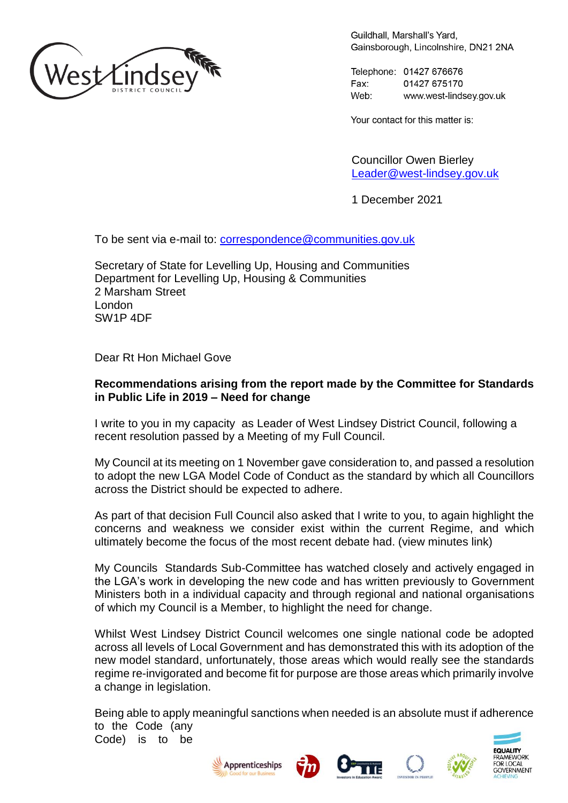

Guildhall, Marshall's Yard. Gainsborough, Lincolnshire, DN21 2NA

Telephone: 01427 676676 Fax: 01427 675170 Web<sup>.</sup> www.west-lindsey.gov.uk

Your contact for this matter is:

Councillor Owen Bierley [Leader@west-lindsey.gov.uk](mailto:Leader@west-lindsey.gov.uk)

1 December 2021

To be sent via e-mail to: [correspondence@communities.gov.uk](mailto:correspondence@communities.gov.uk)

Secretary of State for Levelling Up, Housing and Communities Department for Levelling Up, Housing & Communities 2 Marsham Street London SW1P 4DF

Dear Rt Hon Michael Gove

## **Recommendations arising from the report made by the Committee for Standards in Public Life in 2019 – Need for change**

I write to you in my capacity as Leader of West Lindsey District Council, following a recent resolution passed by a Meeting of my Full Council.

My Council at its meeting on 1 November gave consideration to, and passed a resolution to adopt the new LGA Model Code of Conduct as the standard by which all Councillors across the District should be expected to adhere.

As part of that decision Full Council also asked that I write to you, to again highlight the concerns and weakness we consider exist within the current Regime, and which ultimately become the focus of the most recent debate had. (view minutes link)

My Councils Standards Sub-Committee has watched closely and actively engaged in the LGA's work in developing the new code and has written previously to Government Ministers both in a individual capacity and through regional and national organisations of which my Council is a Member, to highlight the need for change.

Whilst West Lindsey District Council welcomes one single national code be adopted across all levels of Local Government and has demonstrated this with its adoption of the new model standard, unfortunately, those areas which would really see the standards regime re-invigorated and become fit for purpose are those areas which primarily involve a change in legislation.

Being able to apply meaningful sanctions when needed is an absolute must if adherence to the Code (any Code) is to be